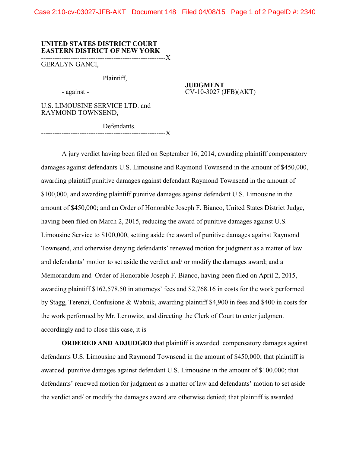Case 2:10-cv-03027-JFB-AKT Document 148 Filed 04/08/15 Page 1 of 2 PageID #: 2340

## **UNITED STATES DISTRICT COURT EASTERN DISTRICT OF NEW YORK**

-------------------------------------------------------X

GERALYN GANCI,

Plaintiff,

**JUDGMENT** - against - CV-10-3027 (JFB)(AKT)

U.S. LIMOUSINE SERVICE LTD. and RAYMOND TOWNSEND,

Defendants. -------------------------------------------------------X

A jury verdict having been filed on September 16, 2014, awarding plaintiff compensatory damages against defendants U.S. Limousine and Raymond Townsend in the amount of \$450,000, awarding plaintiff punitive damages against defendant Raymond Townsend in the amount of \$100,000, and awarding plaintiff punitive damages against defendant U.S. Limousine in the amount of \$450,000; and an Order of Honorable Joseph F. Bianco, United States District Judge, having been filed on March 2, 2015, reducing the award of punitive damages against U.S. Limousine Service to \$100,000, setting aside the award of punitive damages against Raymond Townsend, and otherwise denying defendants' renewed motion for judgment as a matter of law and defendants' motion to set aside the verdict and/ or modify the damages award; and a Memorandum and Order of Honorable Joseph F. Bianco, having been filed on April 2, 2015, awarding plaintiff \$162,578.50 in attorneys' fees and \$2,768.16 in costs for the work performed by Stagg, Terenzi, Confusione & Wabnik, awarding plaintiff \$4,900 in fees and \$400 in costs for the work performed by Mr. Lenowitz, and directing the Clerk of Court to enter judgment accordingly and to close this case, it is

**ORDERED AND ADJUDGED** that plaintiff is awarded compensatory damages against defendants U.S. Limousine and Raymond Townsend in the amount of \$450,000; that plaintiff is awarded punitive damages against defendant U.S. Limousine in the amount of \$100,000; that defendants' renewed motion for judgment as a matter of law and defendants' motion to set aside the verdict and/ or modify the damages award are otherwise denied; that plaintiff is awarded